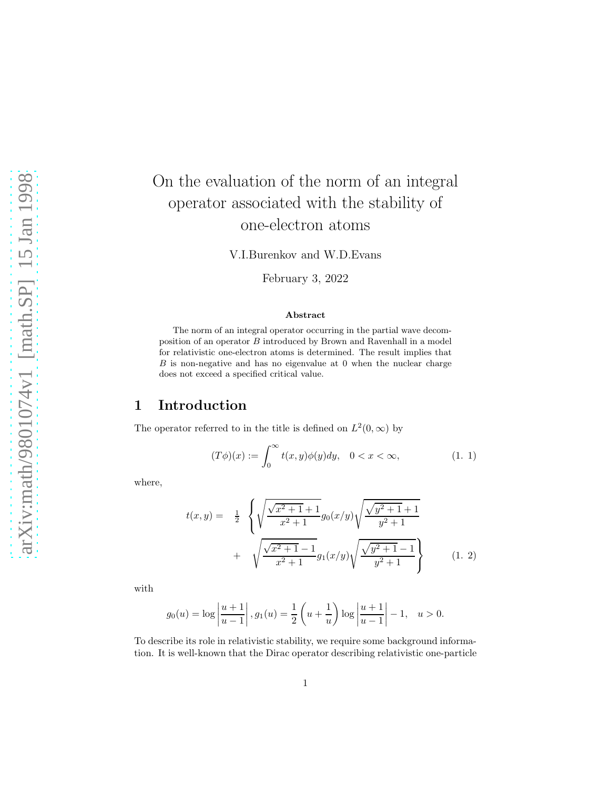# On the evaluation of the norm of an integral operator associated with the stability of one-electron atoms

V.I.Burenkov and W.D.Evans

February 3, 2022

#### Abstract

The norm of an integral operator occurring in the partial wave decomposition of an operator  $B$  introduced by Brown and Ravenhall in a model for relativistic one-electron atoms is determined. The result implies that  $B$  is non-negative and has no eigenvalue at  $0$  when the nuclear charge does not exceed a specified critical value.

### 1 Introduction

The operator referred to in the title is defined on  $L^2(0, \infty)$  by

$$
(T\phi)(x) := \int_0^\infty t(x, y)\phi(y)dy, \quad 0 < x < \infty,\tag{1.1}
$$

where,

$$
t(x,y) = \frac{1}{2} \left\{ \sqrt{\frac{\sqrt{x^2+1}+1}{x^2+1}} g_0(x/y) \sqrt{\frac{\sqrt{y^2+1}+1}{y^2+1}} + \sqrt{\frac{\sqrt{x^2+1}-1}{x^2+1}} g_1(x/y) \sqrt{\frac{\sqrt{y^2+1}-1}{y^2+1}} \right\}
$$
(1. 2)

with

$$
g_0(u) = \log \left| \frac{u+1}{u-1} \right|, g_1(u) = \frac{1}{2} \left( u + \frac{1}{u} \right) \log \left| \frac{u+1}{u-1} \right| - 1, u > 0.
$$

To describe its role in relativistic stability, we require some background information. It is well-known that the Dirac operator describing relativistic one-particle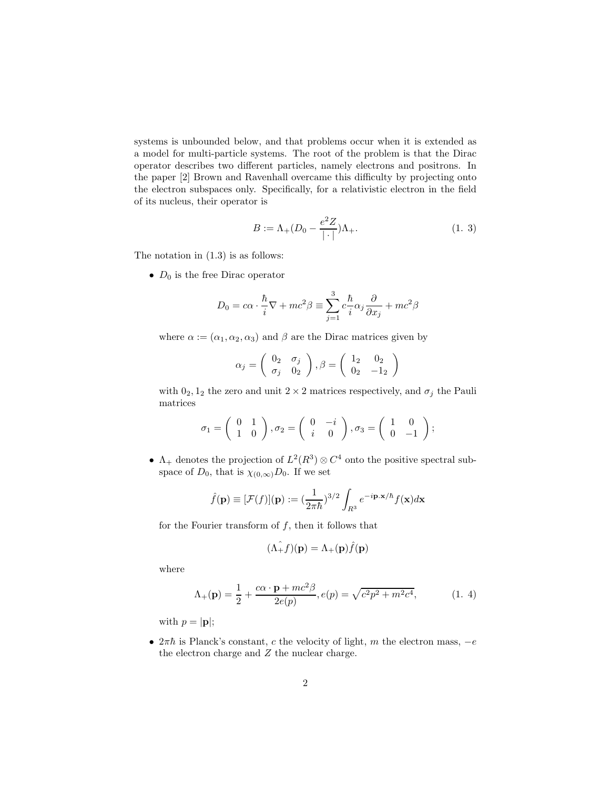systems is unbounded below, and that problems occur when it is extended as a model for multi-particle systems. The root of the problem is that the Dirac operator describes two different particles, namely electrons and positrons. In the paper [2] Brown and Ravenhall overcame this difficulty by projecting onto the electron subspaces only. Specifically, for a relativistic electron in the field of its nucleus, their operator is

$$
B := \Lambda_{+}(D_{0} - \frac{e^{2}Z}{|\cdot|})\Lambda_{+}.
$$
 (1. 3)

The notation in (1.3) is as follows:

•  $D_0$  is the free Dirac operator

$$
D_0 = c\alpha \cdot \frac{\hbar}{i}\nabla + mc^2\beta \equiv \sum_{j=1}^3 c \frac{\hbar}{i} \alpha_j \frac{\partial}{\partial x_j} + mc^2\beta
$$

where  $\alpha := (\alpha_1, \alpha_2, \alpha_3)$  and  $\beta$  are the Dirac matrices given by

$$
\alpha_j = \left(\begin{array}{cc} 0_2 & \sigma_j \\ \sigma_j & 0_2 \end{array}\right), \beta = \left(\begin{array}{cc} 1_2 & 0_2 \\ 0_2 & -1_2 \end{array}\right)
$$

with  $0_2$ ,  $1_2$  the zero and unit  $2 \times 2$  matrices respectively, and  $\sigma_j$  the Pauli matrices

$$
\sigma_1 = \begin{pmatrix} 0 & 1 \\ 1 & 0 \end{pmatrix}, \sigma_2 = \begin{pmatrix} 0 & -i \\ i & 0 \end{pmatrix}, \sigma_3 = \begin{pmatrix} 1 & 0 \\ 0 & -1 \end{pmatrix};
$$

•  $\Lambda_+$  denotes the projection of  $L^2(R^3) \otimes C^4$  onto the positive spectral subspace of  $D_0$ , that is  $\chi_{(0,\infty)}D_0$ . If we set

$$
\hat{f}(\mathbf{p}) \equiv [\mathcal{F}(f)](\mathbf{p}) := (\frac{1}{2\pi\hbar})^{3/2} \int_{R^3} e^{-i\mathbf{p} \cdot \mathbf{x}/\hbar} f(\mathbf{x}) d\mathbf{x}
$$

for the Fourier transform of  $f$ , then it follows that

$$
(\hat{\Lambda_+ f})(\mathbf{p}) = \Lambda_+(\mathbf{p})\hat{f}(\mathbf{p})
$$

where

$$
\Lambda_{+}(\mathbf{p}) = \frac{1}{2} + \frac{c\alpha \cdot \mathbf{p} + mc^{2}\beta}{2e(p)}, e(p) = \sqrt{c^{2}p^{2} + m^{2}c^{4}},
$$
(1. 4)

with  $p = |\mathbf{p}|$ ;

•  $2\pi\hbar$  is Planck's constant, c the velocity of light, m the electron mass,  $-e$ the electron charge and Z the nuclear charge.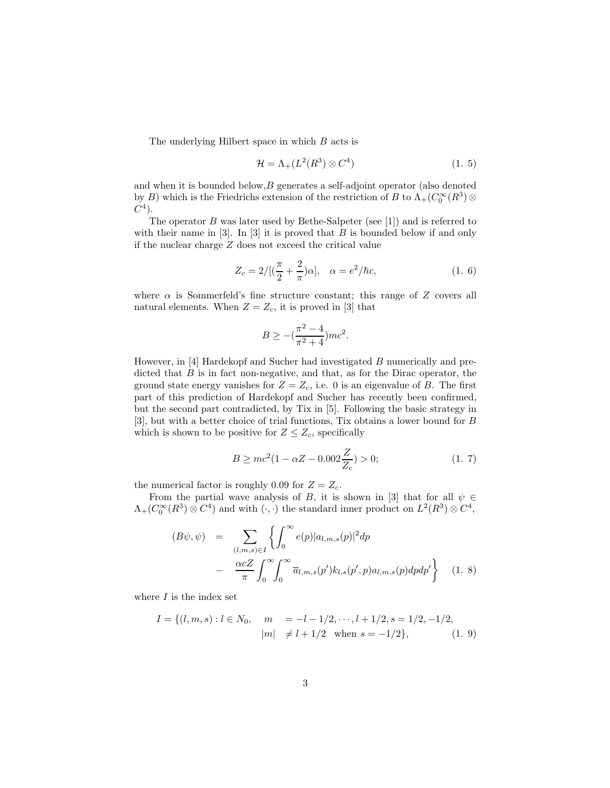The underlying Hilbert space in which B acts is

$$
\mathcal{H} = \Lambda_+(L^2(R^3) \otimes C^4) \tag{1.5}
$$

and when it is bounded below,  $B$  generates a self-adjoint operator (also denoted by B) which is the Friedrichs extension of the restriction of B to  $\Lambda_+(C_0^{\infty}(R^3) \otimes$  $C^4$ ).

The operator  $B$  was later used by Bethe-Salpeter (see [1]) and is referred to with their name in  $[3]$ . In  $[3]$  it is proved that B is bounded below if and only if the nuclear charge Z does not exceed the critical value

$$
Z_c = 2/[(\frac{\pi}{2} + \frac{2}{\pi})\alpha], \quad \alpha = e^2/\hbar c,
$$
 (1. 6)

where  $\alpha$  is Sommerfeld's fine structure constant; this range of Z covers all natural elements. When  $Z = Z_c$ , it is proved in [3] that

$$
B \ge -(\frac{\pi^2 - 4}{\pi^2 + 4})mc^2.
$$

However, in [4] Hardekopf and Sucher had investigated B numerically and predicted that  $B$  is in fact non-negative, and that, as for the Dirac operator, the ground state energy vanishes for  $Z = Z_c$ , i.e. 0 is an eigenvalue of B. The first part of this prediction of Hardekopf and Sucher has recently been confirmed, but the second part contradicted, by Tix in [5]. Following the basic strategy in [3], but with a better choice of trial functions, Tix obtains a lower bound for B which is shown to be positive for  $Z \leq Z_c$ , specifically

$$
B \ge mc^2 (1 - \alpha Z - 0.002 \frac{Z}{Z_c}) > 0; \tag{1.7}
$$

the numerical factor is roughly 0.09 for  $Z = Z_c$ .

From the partial wave analysis of B, it is shown in [3] that for all  $\psi \in$  $\Lambda_+(C_0^{\infty}(R^3) \otimes C^4)$  and with  $(\cdot, \cdot)$  the standard inner product on  $L^2(R^3) \otimes C^4$ ,

$$
(B\psi, \psi) = \sum_{(l,m,s)\in I} \left\{ \int_0^\infty e(p)|a_{l,m,s}(p)|^2 dp - \frac{\alpha cZ}{\pi} \int_0^\infty \int_0^\infty \overline{a}_{l,m,s}(p') k_{l,s}(p',p) a_{l,m,s}(p) dp' \right\}
$$
(1.8)

where  $I$  is the index set

$$
I = \{(l, m, s) : l \in N_0, \quad m = -l - 1/2, \dots, l + 1/2, s = 1/2, -1/2, |m| \neq l + 1/2 \text{ when } s = -1/2\},
$$
(1. 9)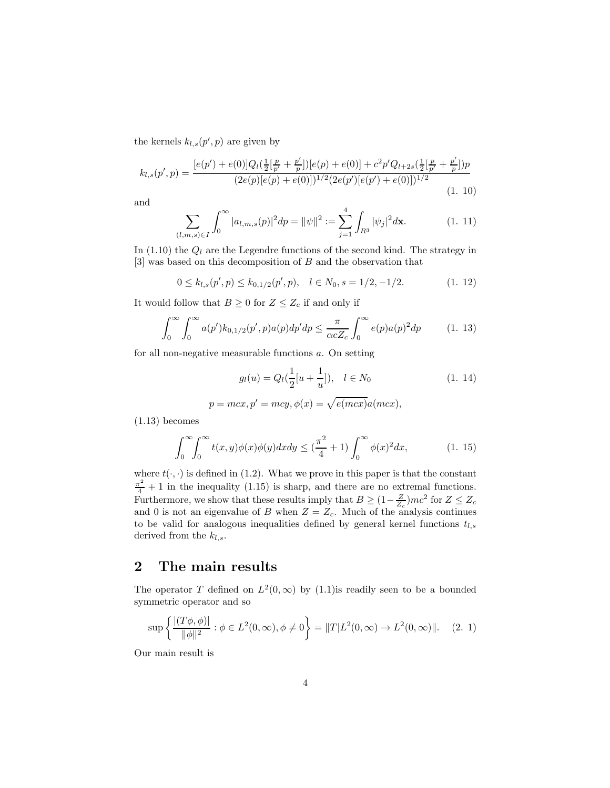the kernels  $k_{l,s}(p',p)$  are given by

$$
k_{l,s}(p',p) = \frac{[e(p')+e(0)]Q_l(\frac{1}{2}[\frac{p}{p'}+\frac{p'}{p}])[e(p)+e(0)]+c^2p'Q_{l+2s}(\frac{1}{2}[\frac{p}{p'}+\frac{p'}{p}])p}{(2e(p)[e(p)+e(0)])^{1/2}(2e(p')[e(p')+e(0)])^{1/2}}
$$
(1. 10)

and

$$
\sum_{(l,m,s)\in I} \int_0^\infty |a_{l,m,s}(p)|^2 dp = ||\psi||^2 := \sum_{j=1}^4 \int_{R^3} |\psi_j|^2 d\mathbf{x}.\tag{1.11}
$$

In  $(1.10)$  the  $Q_l$  are the Legendre functions of the second kind. The strategy in [3] was based on this decomposition of B and the observation that

$$
0 \le k_{l,s}(p',p) \le k_{0,1/2}(p',p), \quad l \in N_0, s = 1/2, -1/2. \tag{1.12}
$$

It would follow that  $B \geq 0$  for  $Z \leq Z_c$  if and only if

$$
\int_0^\infty \int_0^\infty a(p') k_{0,1/2}(p',p) a(p) dp' dp \le \frac{\pi}{\alpha c Z_c} \int_0^\infty e(p) a(p)^2 dp \qquad (1. 13)
$$

for all non-negative measurable functions a. On setting

$$
g_l(u) = Q_l(\frac{1}{2}[u + \frac{1}{u}]), \quad l \in N_0
$$
\n(1. 14)

$$
p = mcx, p' = mcy, \phi(x) = \sqrt{e(mcx)}a(mcx),
$$

(1.13) becomes

$$
\int_0^\infty \int_0^\infty t(x,y)\phi(x)\phi(y)dxdy \le \left(\frac{\pi^2}{4} + 1\right)\int_0^\infty \phi(x)^2 dx,\tag{1.15}
$$

where  $t(\cdot, \cdot)$  is defined in (1.2). What we prove in this paper is that the constant  $\frac{\pi^2}{4} + 1$  in the inequality (1.15) is sharp, and there are no extremal functions. Furthermore, we show that these results imply that  $B \geq (1 - \frac{Z}{Z_c})mc^2$  for  $Z \leq Z_c$ and 0 is not an eigenvalue of B when  $Z = Z_c$ . Much of the analysis continues to be valid for analogous inequalities defined by general kernel functions  $t_{l,s}$ derived from the  $k_{l,s}$ .

## 2 The main results

The operator T defined on  $L^2(0,\infty)$  by (1.1) is readily seen to be a bounded symmetric operator and so

$$
\sup \left\{ \frac{|(T\phi, \phi)|}{\|\phi\|^2} : \phi \in L^2(0, \infty), \phi \neq 0 \right\} = \|T|L^2(0, \infty) \to L^2(0, \infty)\|.
$$
 (2. 1)

Our main result is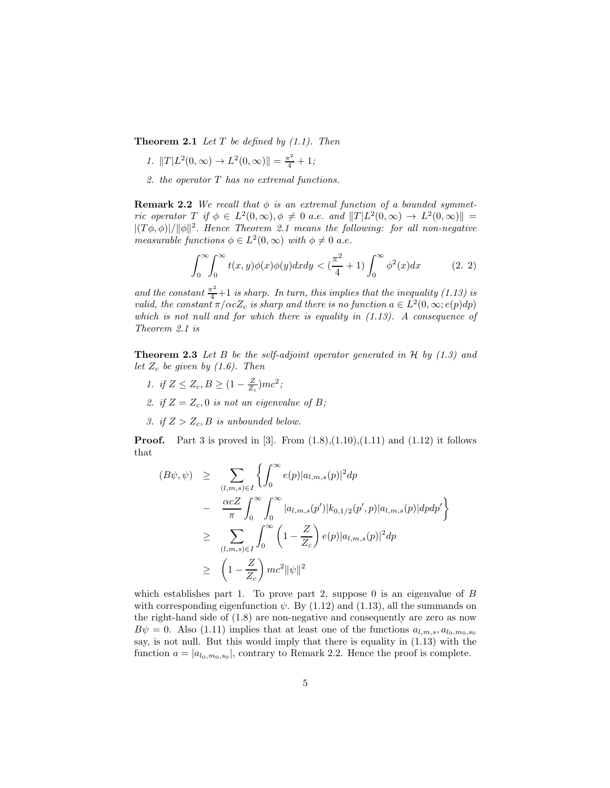Theorem 2.1 *Let* T *be defined by (1.1). Then*

- *1.*  $||T|L^2(0, \infty) \to L^2(0, \infty)|| = \frac{\pi^2}{4} + 1;$
- *2. the operator* T *has no extremal functions.*

**Remark 2.2** *We recall that*  $\phi$  *is an extremal function of a bounded symmetric operator*  $T$  *if*  $\phi \in L^2(0, \infty)$ ,  $\phi \neq 0$  *a.e. and*  $||T|L^2(0, \infty) \rightarrow L^2(0, \infty)|| =$  $|(T\phi,\phi)|/||\phi||^2$ . *Hence Theorem 2.1 means the following: for all non-negative measurable functions*  $\phi \in L^2(0, \infty)$  *with*  $\phi \neq 0$  *a.e.* 

$$
\int_0^\infty \int_0^\infty t(x,y)\phi(x)\phi(y)dxdy < \left(\frac{\pi^2}{4} + 1\right)\int_0^\infty \phi^2(x)dx\tag{2.2}
$$

and the constant  $\frac{\pi^2}{4}+1$  is sharp. In turn, this implies that the inequality (1.13) is *valid, the constant*  $\pi/\alpha cZ_c$  *is sharp and there is no function*  $a \in L^2(0, \infty; e(p)dp)$ *which is not null and for which there is equality in (1.13). A consequence of Theorem 2.1 is*

Theorem 2.3 *Let* B *be the self-adjoint operator generated in* H *by (1.3) and let*  $Z_c$  *be given by (1.6). Then* 

- *1. if*  $Z \le Z_c, B \ge (1 \frac{Z}{Z_c})mc^2$ ;
- 2. if  $Z = Z_c$ , 0 is not an eigenvalue of B;
- *3.* if  $Z > Z_c$ , *B* is unbounded below.

**Proof.** Part 3 is proved in [3]. From  $(1.8), (1.10), (1.11)$  and  $(1.12)$  it follows that

$$
(B\psi, \psi) \geq \sum_{(l,m,s)\in I} \left\{ \int_0^\infty e(p)|a_{l,m,s}(p)|^2 dp - \frac{\alpha cZ}{\pi} \int_0^\infty \int_0^\infty |a_{l,m,s}(p')| k_{0,1/2}(p',p)|a_{l,m,s}(p)| dp dp' \right\}
$$
  

$$
\geq \sum_{(l,m,s)\in I} \int_0^\infty \left(1 - \frac{Z}{Z_c}\right) e(p)|a_{l,m,s}(p)|^2 dp
$$
  

$$
\geq \left(1 - \frac{Z}{Z_c}\right) mc^2 \|\psi\|^2
$$

which establishes part 1. To prove part 2, suppose 0 is an eigenvalue of  $B$ with corresponding eigenfunction  $\psi$ . By (1.12) and (1.13), all the summands on the right-hand side of (1.8) are non-negative and consequently are zero as now  $B\psi = 0$ . Also (1.11) implies that at least one of the functions  $a_{l,m,s}, a_{l_0,m_0,s_0}$ say, is not null. But this would imply that there is equality in (1.13) with the function  $a = |a_{l_0,m_0,s_0}|$ , contrary to Remark 2.2. Hence the proof is complete.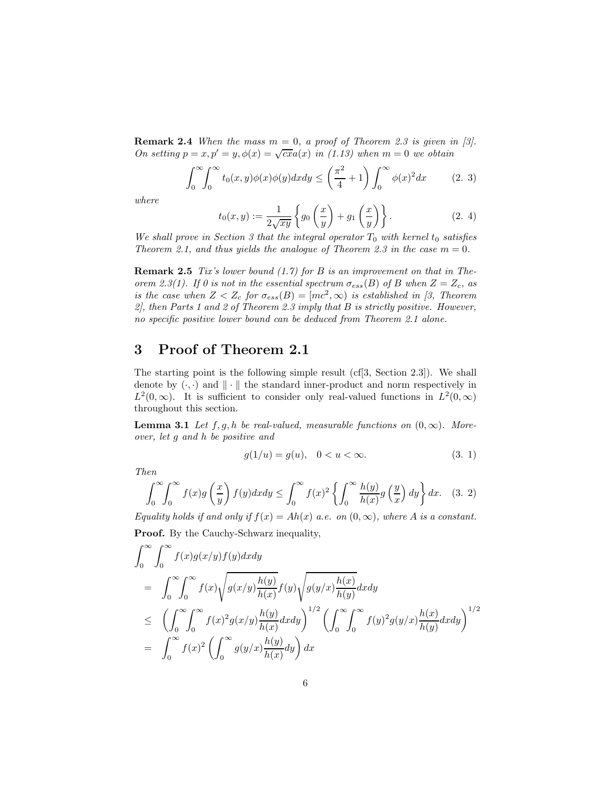**Remark 2.4** *When the mass*  $m = 0$ , a proof of Theorem 2.3 is given in [3]. *On setting*  $p = x, p' = y, \phi(x) = \sqrt{cx}a(x)$  *in* (1.13) when  $m = 0$  we obtain

$$
\int_0^\infty \int_0^\infty t_0(x, y)\phi(x)\phi(y)dxdy \le \left(\frac{\pi^2}{4} + 1\right)\int_0^\infty \phi(x)^2 dx \qquad (2. 3)
$$

*where*

$$
t_0(x,y) := \frac{1}{2\sqrt{xy}} \left\{ g_0\left(\frac{x}{y}\right) + g_1\left(\frac{x}{y}\right) \right\}.
$$
 (2.4)

*We shall prove in Section 3 that the integral operator*  $T_0$  *with kernel*  $t_0$  *satisfies Theorem 2.1, and thus yields the analogue of Theorem 2.3 in the case*  $m = 0$ *.* 

Remark 2.5 *Tix's lower bound (1.7) for* B *is an improvement on that in Theorem 2.3(1). If 0 is not in the essential spectrum*  $\sigma_{ess}(B)$  *of* B when  $Z = Z_c$ , as *is the case when*  $Z < Z_c$  *for*  $\sigma_{ess}(B) = [mc^2, \infty)$  *is established in* [3, Theorem *2], then Parts 1 and 2 of Theorem 2.3 imply that* B *is strictly positive. However, no specific positive lower bound can be deduced from Theorem 2.1 alone.*

### 3 Proof of Theorem 2.1

The starting point is the following simple result (cf[3, Section 2.3]). We shall denote by  $(\cdot, \cdot)$  and  $\|\cdot\|$  the standard inner-product and norm respectively in  $L^2(0,\infty)$ . It is sufficient to consider only real-valued functions in  $L^2(0,\infty)$ throughout this section.

**Lemma 3.1** *Let*  $f, g, h$  *be real-valued, measurable functions on*  $(0, \infty)$ *. Moreover, let* g *and* h *be positive and*

$$
g(1/u) = g(u), \quad 0 < u < \infty.
$$
 (3. 1)

*Then*

$$
\int_0^\infty \int_0^\infty f(x)g\left(\frac{x}{y}\right) f(y)dx dy \le \int_0^\infty f(x)^2 \left\{ \int_0^\infty \frac{h(y)}{h(x)}g\left(\frac{y}{x}\right) dy \right\} dx. \quad (3. 2)
$$

*Equality holds if and only if*  $f(x) = Ah(x)$  *a.e.* on  $(0, \infty)$ *, where* A *is a constant.* Proof. By the Cauchy-Schwarz inequality,

$$
\int_0^\infty \int_0^\infty f(x)g(x/y)f(y)dxdy
$$
\n
$$
= \int_0^\infty \int_0^\infty f(x)\sqrt{g(x/y)\frac{h(y)}{h(x)}}f(y)\sqrt{g(y/x)\frac{h(x)}{h(y)}}dxdy
$$
\n
$$
\leq \left(\int_0^\infty \int_0^\infty f(x)^2g(x/y)\frac{h(y)}{h(x)}dxdy\right)^{1/2} \left(\int_0^\infty \int_0^\infty f(y)^2g(y/x)\frac{h(x)}{h(y)}dxdy\right)^{1/2}
$$
\n
$$
= \int_0^\infty f(x)^2\left(\int_0^\infty g(y/x)\frac{h(y)}{h(x)}dy\right)dx
$$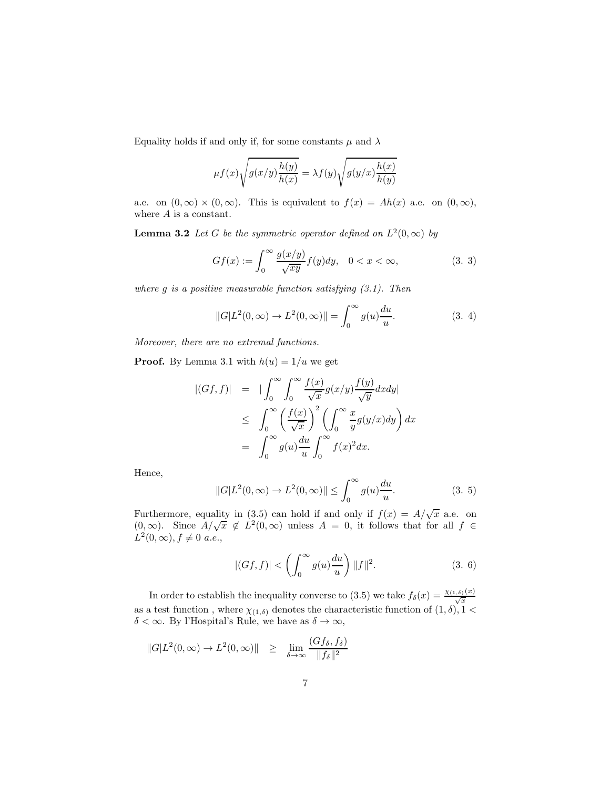Equality holds if and only if, for some constants  $\mu$  and  $\lambda$ 

$$
\mu f(x) \sqrt{g(x/y) \frac{h(y)}{h(x)}} = \lambda f(y) \sqrt{g(y/x) \frac{h(x)}{h(y)}}
$$

a.e. on  $(0, \infty) \times (0, \infty)$ . This is equivalent to  $f(x) = Ah(x)$  a.e. on  $(0, \infty)$ , where  $A$  is a constant.

**Lemma 3.2** Let G be the symmetric operator defined on  $L^2(0, \infty)$  by

$$
Gf(x) := \int_0^\infty \frac{g(x/y)}{\sqrt{xy}} f(y) dy, \quad 0 < x < \infty,\tag{3.3}
$$

*where* g *is a positive measurable function satisfying (3.1). Then*

$$
||G|L^{2}(0, \infty) \to L^{2}(0, \infty)|| = \int_{0}^{\infty} g(u) \frac{du}{u}.
$$
 (3. 4)

*Moreover, there are no extremal functions.*

**Proof.** By Lemma 3.1 with  $h(u) = 1/u$  we get

$$
\begin{array}{rcl} |(Gf, f)| & = & | \int_0^\infty \int_0^\infty \frac{f(x)}{\sqrt{x}} g(x/y) \frac{f(y)}{\sqrt{y}} dx dy | \\ & \leq & \int_0^\infty \left( \frac{f(x)}{\sqrt{x}} \right)^2 \left( \int_0^\infty \frac{x}{y} g(y/x) dy \right) dx \\ & = & \int_0^\infty g(u) \frac{du}{u} \int_0^\infty f(x)^2 dx. \end{array}
$$

Hence,

$$
||G|L^{2}(0, \infty) \to L^{2}(0, \infty)|| \leq \int_{0}^{\infty} g(u) \frac{du}{u}.
$$
 (3. 5)

Furthermore, equality in (3.5) can hold if and only if  $f(x) = A/\sqrt{x}$  a.e. on  $(0, \infty)$ . Since  $A/\sqrt{x} \notin L^2(0, \infty)$  unless  $A = 0$ , it follows that for all  $f \in$  $L^2(0, \infty), f \neq 0 \text{ a.e.},$ 

$$
|(Gf, f)| < \left(\int_0^\infty g(u)\frac{du}{u}\right) ||f||^2. \tag{3.6}
$$

In order to establish the inequality converse to (3.5) we take  $f_{\delta}(x) = \frac{\chi_{(1,\delta)}(x)}{\sqrt{x}}$  as a test function, where  $\chi_{(1,\delta)}$  denotes the characteristic function of  $(1,\delta)$ ,  $1 <$  $\delta < \infty$ . By l'Hospital's Rule, we have as  $\delta \to \infty$ ,

$$
||G|L^{2}(0,\infty) \to L^{2}(0,\infty)|| \geq \lim_{\delta \to \infty} \frac{(Gf_{\delta}, f_{\delta})}{||f_{\delta}||^{2}}
$$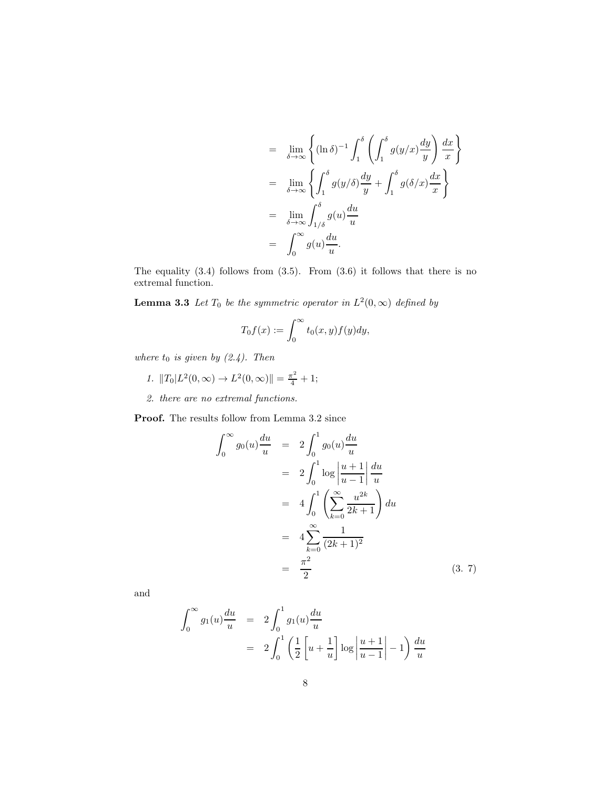$$
= \lim_{\delta \to \infty} \left\{ (\ln \delta)^{-1} \int_1^{\delta} \left( \int_1^{\delta} g(y/x) \frac{dy}{y} \right) \frac{dx}{x} \right\}
$$
  
\n
$$
= \lim_{\delta \to \infty} \left\{ \int_1^{\delta} g(y/\delta) \frac{dy}{y} + \int_1^{\delta} g(\delta/x) \frac{dx}{x} \right\}
$$
  
\n
$$
= \lim_{\delta \to \infty} \int_{1/\delta}^{\delta} g(u) \frac{du}{u}
$$
  
\n
$$
= \int_0^{\infty} g(u) \frac{du}{u}.
$$

The equality  $(3.4)$  follows from  $(3.5)$ . From  $(3.6)$  it follows that there is no extremal function.

**Lemma 3.3** Let  $T_0$  be the symmetric operator in  $L^2(0,\infty)$  defined by

$$
T_0f(x) := \int_0^\infty t_0(x, y) f(y) dy,
$$

*where*  $t_0$  *is given by (2.4). Then* 

- *1.*  $||T_0|L^2(0, \infty) \to L^2(0, \infty)|| = \frac{\pi^2}{4} + 1;$
- *2. there are no extremal functions.*

Proof. The results follow from Lemma 3.2 since

$$
\int_0^\infty g_0(u) \frac{du}{u} = 2 \int_0^1 g_0(u) \frac{du}{u}
$$
  
=  $2 \int_0^1 \log \left| \frac{u+1}{u-1} \right| \frac{du}{u}$   
=  $4 \int_0^1 \left( \sum_{k=0}^\infty \frac{u^{2k}}{2k+1} \right) du$   
=  $4 \sum_{k=0}^\infty \frac{1}{(2k+1)^2}$   
=  $\frac{\pi^2}{2}$  (3. 7)

and

$$
\int_0^{\infty} g_1(u) \frac{du}{u} = 2 \int_0^1 g_1(u) \frac{du}{u}
$$
  
=  $2 \int_0^1 \left( \frac{1}{2} \left[ u + \frac{1}{u} \right] \log \left| \frac{u+1}{u-1} \right| - 1 \right) \frac{du}{u}$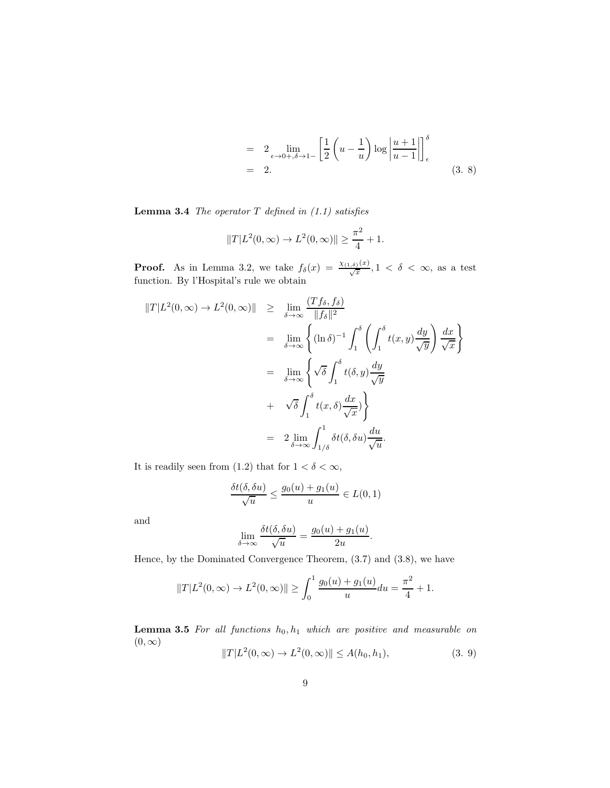$$
= 2 \lim_{\epsilon \to 0+,\delta \to 1-} \left[ \frac{1}{2} \left( u - \frac{1}{u} \right) \log \left| \frac{u+1}{u-1} \right| \right]_{\epsilon}^{\delta}
$$
  
= 2. (3. 8)

Lemma 3.4 *The operator* T *defined in (1.1) satisfies*

$$
||T|L^2(0,\infty) \to L^2(0,\infty)|| \ge \frac{\pi^2}{4} + 1.
$$

**Proof.** As in Lemma 3.2, we take  $f_{\delta}(x) = \frac{\chi_{(1,\delta)}(x)}{\sqrt{x}}, 1 < \delta < \infty$ , as a test function. By l'Hospital's rule we obtain

$$
\begin{array}{rcl}\n\|T|L^{2}(0,\infty) \to L^{2}(0,\infty)\| &\geq & \lim_{\delta \to \infty} \frac{(Tf_{\delta},f_{\delta})}{\|f_{\delta}\|^{2}} \\
&=& \lim_{\delta \to \infty} \left\{ (\ln \delta)^{-1} \int_{1}^{\delta} \left( \int_{1}^{\delta} t(x,y) \frac{dy}{\sqrt{y}} \right) \frac{dx}{\sqrt{x}} \right\} \\
&=& \lim_{\delta \to \infty} \left\{ \sqrt{\delta} \int_{1}^{\delta} t(\delta,y) \frac{dy}{\sqrt{y}} \right. \\
& & \left. + \sqrt{\delta} \int_{1}^{\delta} t(x,\delta) \frac{dx}{\sqrt{x}} \right\} \\
&=& 2 \lim_{\delta \to \infty} \int_{1/\delta}^{1} \delta t(\delta, \delta u) \frac{du}{\sqrt{u}}.\n\end{array}
$$

It is readily seen from (1.2) that for  $1 < \delta < \infty$ ,

$$
\frac{\delta t(\delta, \delta u)}{\sqrt{u}} \le \frac{g_0(u) + g_1(u)}{u} \in L(0, 1)
$$

and

$$
\lim_{\delta \to \infty} \frac{\delta t(\delta, \delta u)}{\sqrt{u}} = \frac{g_0(u) + g_1(u)}{2u}.
$$

Hence, by the Dominated Convergence Theorem, (3.7) and (3.8), we have

$$
||T|L^2(0, \infty) \to L^2(0, \infty)|| \ge \int_0^1 \frac{g_0(u) + g_1(u)}{u} du = \frac{\pi^2}{4} + 1.
$$

**Lemma 3.5** For all functions  $h_0, h_1$  which are positive and measurable on  $(0, \infty)$ 

$$
||T|L^{2}(0,\infty) \to L^{2}(0,\infty)|| \leq A(h_{0},h_{1}), \qquad (3.9)
$$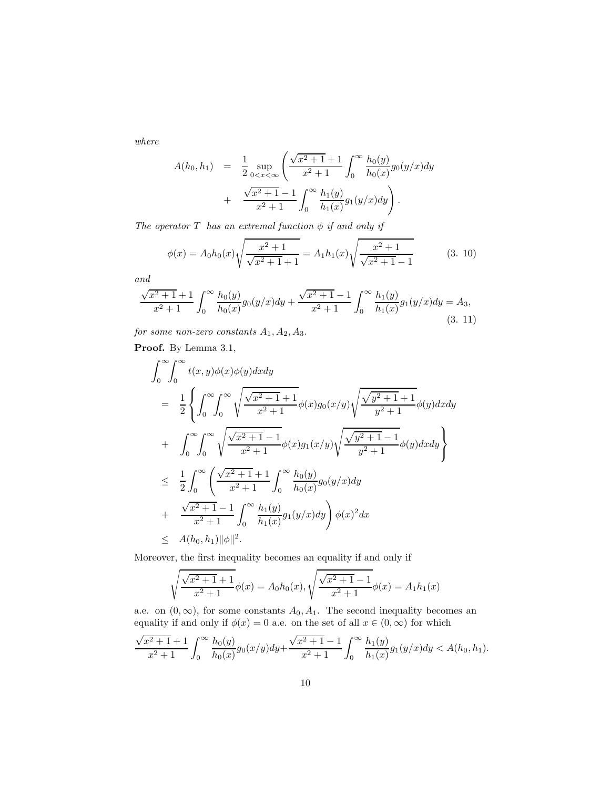*where*

$$
A(h_0, h_1) = \frac{1}{2} \sup_{0 < x < \infty} \left( \frac{\sqrt{x^2 + 1} + 1}{x^2 + 1} \int_0^{\infty} \frac{h_0(y)}{h_0(x)} g_0(y/x) dy + \frac{\sqrt{x^2 + 1} - 1}{x^2 + 1} \int_0^{\infty} \frac{h_1(y)}{h_1(x)} g_1(y/x) dy \right).
$$

*The operator*  $T$  *has an extremal function*  $\phi$  *if and only if* 

$$
\phi(x) = A_0 h_0(x) \sqrt{\frac{x^2 + 1}{\sqrt{x^2 + 1} + 1}} = A_1 h_1(x) \sqrt{\frac{x^2 + 1}{\sqrt{x^2 + 1} - 1}} \tag{3.10}
$$

*and*

$$
\frac{\sqrt{x^2+1}+1}{x^2+1} \int_0^\infty \frac{h_0(y)}{h_0(x)} g_0(y/x) dy + \frac{\sqrt{x^2+1}-1}{x^2+1} \int_0^\infty \frac{h_1(y)}{h_1(x)} g_1(y/x) dy = A_3,
$$
\n(3. 11)

*for some non-zero constants*  $A_1, A_2, A_3$ .

Proof. By Lemma 3.1,

$$
\int_{0}^{\infty} \int_{0}^{\infty} t(x, y) \phi(x) \phi(y) dx dy
$$
\n
$$
= \frac{1}{2} \left\{ \int_{0}^{\infty} \int_{0}^{\infty} \sqrt{\frac{\sqrt{x^{2} + 1} + 1}{x^{2} + 1}} \phi(x) g_{0}(x/y) \sqrt{\frac{\sqrt{y^{2} + 1} + 1}{y^{2} + 1}} \phi(y) dx dy \right\}
$$
\n
$$
+ \int_{0}^{\infty} \int_{0}^{\infty} \sqrt{\frac{\sqrt{x^{2} + 1} - 1}{x^{2} + 1}} \phi(x) g_{1}(x/y) \sqrt{\frac{\sqrt{y^{2} + 1} - 1}{y^{2} + 1}} \phi(y) dx dy \right\}
$$
\n
$$
\leq \frac{1}{2} \int_{0}^{\infty} \left( \frac{\sqrt{x^{2} + 1} + 1}{x^{2} + 1} \int_{0}^{\infty} \frac{h_{0}(y)}{h_{0}(x)} g_{0}(y/x) dy \right)
$$
\n
$$
+ \frac{\sqrt{x^{2} + 1} - 1}{x^{2} + 1} \int_{0}^{\infty} \frac{h_{1}(y)}{h_{1}(x)} g_{1}(y/x) dy \right) \phi(x)^{2} dx
$$
\n
$$
\leq A(h_{0}, h_{1}) ||\phi||^{2}.
$$

Moreover, the first inequality becomes an equality if and only if

$$
\sqrt{\frac{\sqrt{x^2+1}+1}{x^2+1}}\phi(x) = A_0h_0(x), \sqrt{\frac{\sqrt{x^2+1}-1}{x^2+1}}\phi(x) = A_1h_1(x)
$$

a.e. on  $(0, \infty)$ , for some constants  $A_0, A_1$ . The second inequality becomes an equality if and only if  $\phi(x) = 0$  a.e. on the set of all  $x \in (0, \infty)$  for which

$$
\frac{\sqrt{x^2+1}+1}{x^2+1}\int_0^\infty\frac{h_0(y)}{h_0(x)}g_0(x/y)dy+\frac{\sqrt{x^2+1}-1}{x^2+1}\int_0^\infty\frac{h_1(y)}{h_1(x)}g_1(y/x)dy < A(h_0, h_1).
$$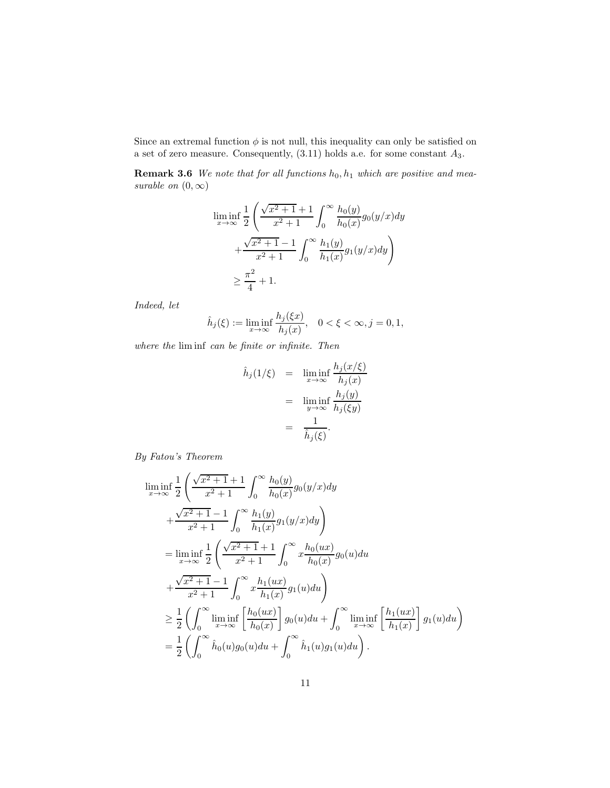Since an extremal function  $\phi$  is not null, this inequality can only be satisfied on a set of zero measure. Consequently,  $(3.11)$  holds a.e. for some constant  $A_3$ .

Remark 3.6 We note that for all functions  $h_0, h_1$  which are positive and mea*surable on*  $(0, \infty)$ 

$$
\liminf_{x \to \infty} \frac{1}{2} \left( \frac{\sqrt{x^2 + 1} + 1}{x^2 + 1} \int_0^\infty \frac{h_0(y)}{h_0(x)} g_0(y/x) dy + \frac{\sqrt{x^2 + 1} - 1}{x^2 + 1} \int_0^\infty \frac{h_1(y)}{h_1(x)} g_1(y/x) dy \right) \ge \frac{\pi^2}{4} + 1.
$$

*Indeed, let*

$$
\hat{h}_j(\xi) := \liminf_{x \to \infty} \frac{h_j(\xi x)}{h_j(x)}, \quad 0 < \xi < \infty, j = 0, 1,
$$

*where the* lim inf *can be finite or infinite. Then*

$$
\hat{h}_j(1/\xi) = \liminf_{x \to \infty} \frac{h_j(x/\xi)}{h_j(x)} \n= \liminf_{y \to \infty} \frac{h_j(y)}{h_j(\xi y)} \n= \frac{1}{\hat{h}_j(\xi)}.
$$

*By Fatou's Theorem*

$$
\liminf_{x \to \infty} \frac{1}{2} \left( \frac{\sqrt{x^2 + 1} + 1}{x^2 + 1} \int_0^\infty \frac{h_0(y)}{h_0(x)} g_0(y/x) dy \right. \n+ \frac{\sqrt{x^2 + 1} - 1}{x^2 + 1} \int_0^\infty \frac{h_1(y)}{h_1(x)} g_1(y/x) dy \right) \n= \liminf_{x \to \infty} \frac{1}{2} \left( \frac{\sqrt{x^2 + 1} + 1}{x^2 + 1} \int_0^\infty x \frac{h_0(ux)}{h_0(x)} g_0(u) du \right. \n+ \frac{\sqrt{x^2 + 1} - 1}{x^2 + 1} \int_0^\infty x \frac{h_1(ux)}{h_1(x)} g_1(u) du \right) \n\geq \frac{1}{2} \left( \int_0^\infty \liminf_{x \to \infty} \left[ \frac{h_0(ux)}{h_0(x)} \right] g_0(u) du + \int_0^\infty \liminf_{x \to \infty} \left[ \frac{h_1(ux)}{h_1(x)} \right] g_1(u) du \right) \n= \frac{1}{2} \left( \int_0^\infty \hat{h}_0(u) g_0(u) du + \int_0^\infty \hat{h}_1(u) g_1(u) du \right).
$$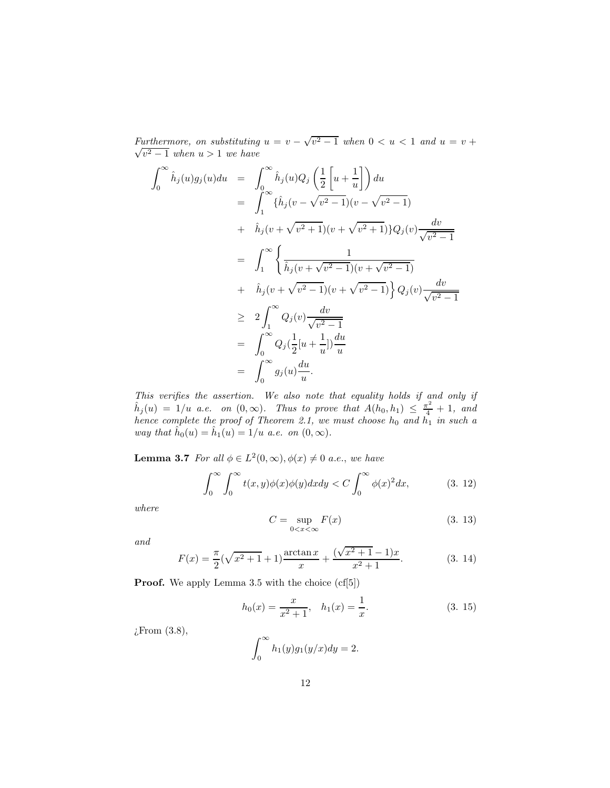*Furthermore, on substituting*  $u = v - \sqrt{v^2 - 1}$  when  $0 < u < 1$  and  $u = v + \sqrt{v^2 - 1}$  $\sqrt{v^2-1}$  when  $u > 1$  we have

$$
\int_0^\infty \hat{h}_j(u)g_j(u)du = \int_0^\infty \hat{h}_j(u)Q_j\left(\frac{1}{2}\left[u+\frac{1}{u}\right]\right)du \n= \int_1^\infty \{\hat{h}_j(v-\sqrt{v^2-1})(v-\sqrt{v^2-1})\}du \n+ \hat{h}_j(v+\sqrt{v^2+1})(v+\sqrt{v^2+1})\}Q_j(v)\frac{dv}{\sqrt{v^2-1}} \n= \int_1^\infty \left\{\frac{1}{\hat{h}_j(v+\sqrt{v^2-1})(v+\sqrt{v^2-1})} + \hat{h}_j(v+\sqrt{v^2-1})(v+\sqrt{v^2-1})\right\}Q_j(v)\frac{dv}{\sqrt{v^2-1}} \n\geq 2\int_1^\infty Q_j(v)\frac{dv}{\sqrt{v^2-1}} \n= \int_0^\infty Q_j(\frac{1}{2}[u+\frac{1}{u}])\frac{du}{u} \n= \int_0^\infty g_j(u)\frac{du}{u}.
$$

*This verifies the assertion. We also note that equality holds if and only if*  $\hat{h}_j(u) = 1/u$  *a.e.* on  $(0, \infty)$ . Thus to prove that  $A(h_0, h_1) \leq \frac{\pi^2}{4} + 1$ , and *hence complete the proof of Theorem 2.1, we must choose*  $h_0$  *and*  $h_1$  *in such a way that*  $\hat{h}_0(u) = \hat{h}_1(u) = 1/u$  *a.e.* on  $(0, \infty)$ *.* 

**Lemma 3.7** *For all*  $\phi \in L^2(0, \infty)$ ,  $\phi(x) \neq 0$  *a.e.*, *we have* 

$$
\int_0^\infty \int_0^\infty t(x,y)\phi(x)\phi(y)dxdy < C \int_0^\infty \phi(x)^2 dx,
$$
 (3. 12)

*where*

$$
C = \sup_{0 < x < \infty} F(x) \tag{3.13}
$$

*and*

$$
F(x) = \frac{\pi}{2}(\sqrt{x^2 + 1} + 1)\frac{\arctan x}{x} + \frac{(\sqrt{x^2 + 1} - 1)x}{x^2 + 1}.
$$
 (3. 14)

**Proof.** We apply Lemma 3.5 with the choice  $(cf[5])$ 

$$
h_0(x) = \frac{x}{x^2 + 1}, \quad h_1(x) = \frac{1}{x}.
$$
 (3. 15)

¿From (3.8),

$$
\int_0^\infty h_1(y)g_1(y/x)dy = 2.
$$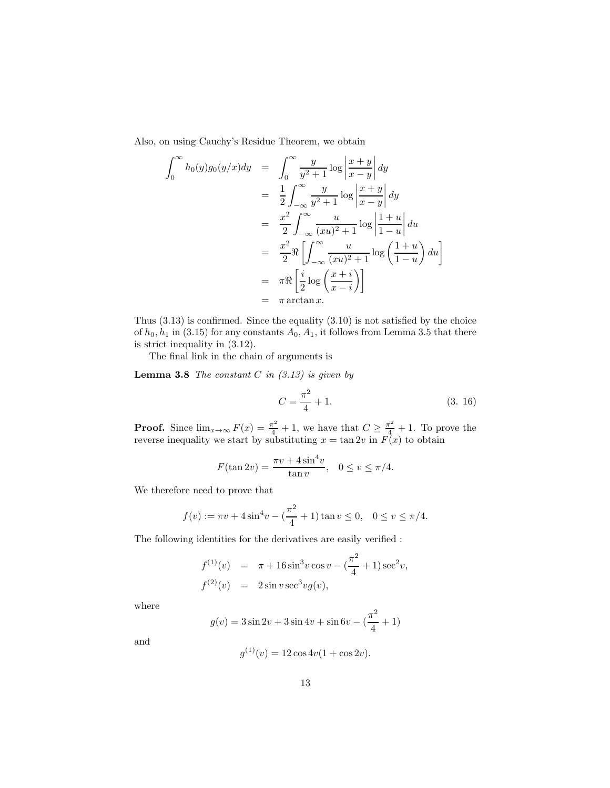Also, on using Cauchy's Residue Theorem, we obtain

$$
\int_0^\infty h_0(y)g_0(y/x)dy = \int_0^\infty \frac{y}{y^2 + 1} \log \left| \frac{x + y}{x - y} \right| dy
$$
  
\n
$$
= \frac{1}{2} \int_{-\infty}^\infty \frac{y}{y^2 + 1} \log \left| \frac{x + y}{x - y} \right| dy
$$
  
\n
$$
= \frac{x^2}{2} \int_{-\infty}^\infty \frac{u}{(xu)^2 + 1} \log \left| \frac{1 + u}{1 - u} \right| du
$$
  
\n
$$
= \frac{x^2}{2} \Re \left[ \int_{-\infty}^\infty \frac{u}{(xu)^2 + 1} \log \left( \frac{1 + u}{1 - u} \right) du \right]
$$
  
\n
$$
= \pi \Re \left[ \frac{i}{2} \log \left( \frac{x + i}{x - i} \right) \right]
$$
  
\n
$$
= \pi \arctan x.
$$

Thus (3.13) is confirmed. Since the equality (3.10) is not satisfied by the choice of  $h_0, h_1$  in (3.15) for any constants  $A_0, A_1$ , it follows from Lemma 3.5 that there is strict inequality in (3.12).

The final link in the chain of arguments is

Lemma 3.8 *The constant* C *in (3.13) is given by*

$$
C = \frac{\pi^2}{4} + 1.
$$
 (3. 16)

**Proof.** Since  $\lim_{x\to\infty} F(x) = \frac{\pi^2}{4} + 1$ , we have that  $C \ge \frac{\pi^2}{4} + 1$ . To prove the reverse inequality we start by substituting  $x = \tan 2v$  in  $F(x)$  to obtain

$$
F(\tan 2v) = \frac{\pi v + 4\sin^4 v}{\tan v}, \quad 0 \le v \le \pi/4.
$$

We therefore need to prove that

$$
f(v) := \pi v + 4\sin^4 v - \left(\frac{\pi^2}{4} + 1\right)\tan v \le 0, \quad 0 \le v \le \pi/4.
$$

The following identities for the derivatives are easily verified :

$$
f^{(1)}(v) = \pi + 16 \sin^3 v \cos v - (\frac{\pi^2}{4} + 1) \sec^2 v,
$$
  

$$
f^{(2)}(v) = 2 \sin v \sec^3 v g(v),
$$

where

$$
g(v) = 3\sin 2v + 3\sin 4v + \sin 6v - (\frac{\pi^2}{4} + 1)
$$

and

$$
g^{(1)}(v) = 12\cos 4v(1 + \cos 2v).
$$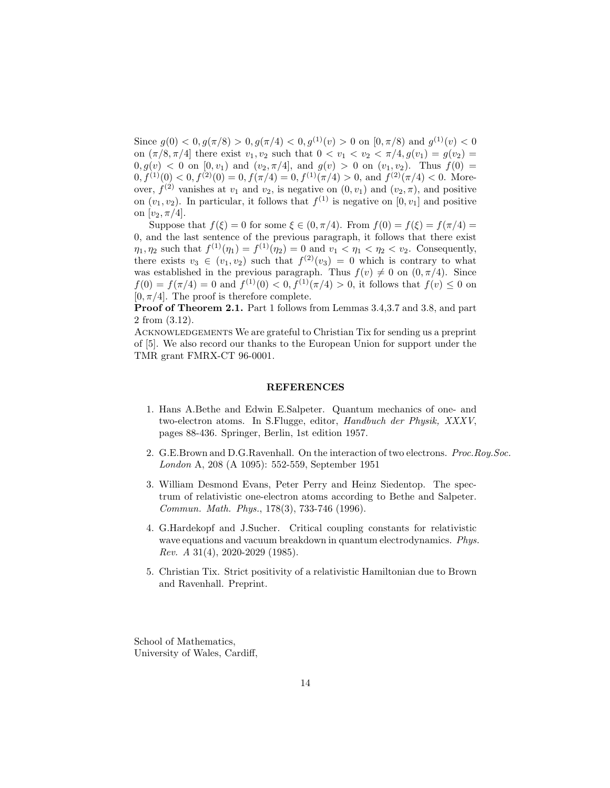Since  $g(0) < 0, g(\pi/8) > 0, g(\pi/4) < 0, g^{(1)}(v) > 0$  on  $[0, \pi/8)$  and  $g^{(1)}(v) < 0$ on  $(\pi/8, \pi/4]$  there exist  $v_1, v_2$  such that  $0 < v_1 < v_2 < \pi/4$ ,  $g(v_1) = g(v_2)$  $0, g(v) < 0$  on  $[0, v_1)$  and  $(v_2, \pi/4]$ , and  $g(v) > 0$  on  $(v_1, v_2)$ . Thus  $f(0) =$  $0, f^{(1)}(0) < 0, f^{(2)}(0) = 0, f(\pi/4) = 0, f^{(1)}(\pi/4) > 0$ , and  $f^{(2)}(\pi/4) < 0$ . Moreover,  $f^{(2)}$  vanishes at  $v_1$  and  $v_2$ , is negative on  $(0, v_1)$  and  $(v_2, \pi)$ , and positive on  $(v_1, v_2)$ . In particular, it follows that  $f^{(1)}$  is negative on  $[0, v_1]$  and positive on  $[v_2, \pi/4]$ .

Suppose that  $f(\xi) = 0$  for some  $\xi \in (0, \pi/4)$ . From  $f(0) = f(\xi) = f(\pi/4)$ 0, and the last sentence of the previous paragraph, it follows that there exist  $\eta_1, \eta_2$  such that  $f^{(1)}(\eta_1) = f^{(1)}(\eta_2) = 0$  and  $v_1 < \eta_1 < \eta_2 < v_2$ . Consequently, there exists  $v_3 \in (v_1, v_2)$  such that  $f^{(2)}(v_3) = 0$  which is contrary to what was established in the previous paragraph. Thus  $f(v) \neq 0$  on  $(0, \pi/4)$ . Since  $f(0) = f(\pi/4) = 0$  and  $f^{(1)}(0) < 0, f^{(1)}(\pi/4) > 0$ , it follows that  $f(v) \le 0$  on  $[0, \pi/4]$ . The proof is therefore complete.

Proof of Theorem 2.1. Part 1 follows from Lemmas 3.4,3.7 and 3.8, and part 2 from (3.12).

ACKNOWLEDGEMENTS We are grateful to Christian Tix for sending us a preprint of [5]. We also record our thanks to the European Union for support under the TMR grant FMRX-CT 96-0001.

#### REFERENCES

- 1. Hans A.Bethe and Edwin E.Salpeter. Quantum mechanics of one- and two-electron atoms. In S.Flugge, editor, *Handbuch der Physik, XXXV*, pages 88-436. Springer, Berlin, 1st edition 1957.
- 2. G.E.Brown and D.G.Ravenhall. On the interaction of two electrons. *Proc.Roy.Soc. London* A, 208 (A 1095): 552-559, September 1951
- 3. William Desmond Evans, Peter Perry and Heinz Siedentop. The spectrum of relativistic one-electron atoms according to Bethe and Salpeter. *Commun. Math. Phys.*, 178(3), 733-746 (1996).
- 4. G.Hardekopf and J.Sucher. Critical coupling constants for relativistic wave equations and vacuum breakdown in quantum electrodynamics. *Phys. Rev. A* 31(4), 2020-2029 (1985).
- 5. Christian Tix. Strict positivity of a relativistic Hamiltonian due to Brown and Ravenhall. Preprint.

School of Mathematics, University of Wales, Cardiff,